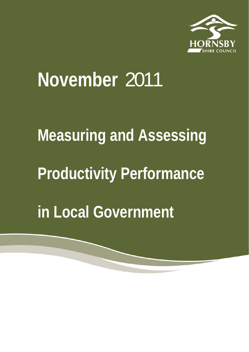

## **November** 2011

## **Measuring and Assessing Productivity Performance in Local Government**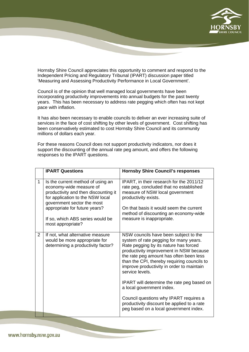

Hornsby Shire Council appreciates this opportunity to comment and respond to the Independent Pricing and Regulatory Tribunal (IPART) discussion paper titled 'Measuring and Assessing Productivity Performance in Local Government'.

Council is of the opinion that well managed local governments have been incorporating productivity improvements into annual budgets for the past twenty years. This has been necessary to address rate pegging which often has not kept pace with inflation.

It has also been necessary to enable councils to deliver an ever increasing suite of services in the face of cost shifting by other levels of government. Cost shifting has been conservatively estimated to cost Hornsby Shire Council and its community millions of dollars each year.

For these reasons Council does not support productivity indicators, nor does it support the discounting of the annual rate peg amount, and offers the following responses to the IPART questions.

|                | <b>IPART Questions</b>                                                                                                                                                                                                                                           | <b>Hornsby Shire Council's responses</b>                                                                                                                                                                                                                                                                                                                                                                                                                                                                                                          |
|----------------|------------------------------------------------------------------------------------------------------------------------------------------------------------------------------------------------------------------------------------------------------------------|---------------------------------------------------------------------------------------------------------------------------------------------------------------------------------------------------------------------------------------------------------------------------------------------------------------------------------------------------------------------------------------------------------------------------------------------------------------------------------------------------------------------------------------------------|
| $\mathbf{1}$   | Is the current method of using an<br>economy-wide measure of<br>productivity and then discounting it<br>for application to the NSW local<br>government sector the most<br>appropriate for future years?<br>If so, which ABS series would be<br>most appropriate? | IPART, in their research for the 2011/12<br>rate peg, concluded that no established<br>measure of NSW local government<br>productivity exists.<br>On that basis it would seem the current<br>method of discounting an economy-wide<br>measure is inappropriate.                                                                                                                                                                                                                                                                                   |
| $\overline{2}$ | If not, what alternative measure<br>would be more appropriate for<br>determining a productivity factor?                                                                                                                                                          | NSW councils have been subject to the<br>system of rate pegging for many years.<br>Rate pegging by its nature has forced<br>productivity improvement in NSW because<br>the rate peg amount has often been less<br>than the CPI, thereby requiring councils to<br>improve productivity in order to maintain<br>service levels.<br><b>IPART</b> will determine the rate peg based on<br>a local government index.<br>Council questions why IPART requires a<br>productivity discount be applied to a rate<br>peg based on a local government index. |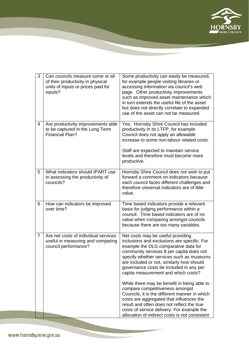

| 3              | Can councils measure some or all<br>of their productivity in physical<br>units of inputs or prices paid for<br>inputs? | Some productivity can easily be measured,<br>for example people visiting libraries or<br>accessing information via council's web<br>page. Other productivity improvements<br>such as improved asset maintenance which<br>in turn extends the useful life of the asset<br>but does not directly correlate to expanded<br>use of the asset can not be measured. |
|----------------|------------------------------------------------------------------------------------------------------------------------|---------------------------------------------------------------------------------------------------------------------------------------------------------------------------------------------------------------------------------------------------------------------------------------------------------------------------------------------------------------|
| 4              | Are productivity improvements able<br>to be captured in the Long Term<br><b>Financial Plan?</b>                        | Yes. Hornsby Shire Council has included<br>productivity in its LTFP, for example<br>Council does not apply an allowable<br>increase to some non-labour related costs.<br>Staff are expected to maintain service<br>levels and therefore must become more<br>productive.                                                                                       |
| 5              | What indicators should IPART use<br>in assessing the productivity of<br>councils?                                      | Hornsby Shire Council does not wish to put<br>forward a comment on indicators because<br>each council faces different challenges and<br>therefore universal indicators are of little<br>value.                                                                                                                                                                |
| 6              | How can indicators be improved<br>over time?                                                                           | Time based indicators provide a relevant<br>basis for judging performance within a<br>council. Time based indicators are of no<br>value when comparing amongst councils<br>because there are too many variables.                                                                                                                                              |
| $\overline{7}$ | Are net costs of individual services<br>useful in measuring and comparing<br>council performance?                      | Net costs may be useful providing<br>inclusions and exclusions are specific. For<br>example the DLG comparative data for<br>community services \$ per capita does not<br>specify whether services such as museums<br>are included or not, similarly how should<br>governance costs be included in any per<br>capita measurement and which costs?              |
|                |                                                                                                                        | While there may be benefit in being able to<br>compare competitiveness amongst<br>Councils, it is the different manner in which<br>costs are aggregated that influences the<br>result and often does not reflect the true<br>costs of service delivery. For example the<br>allocation of indirect costs is not consistent                                     |